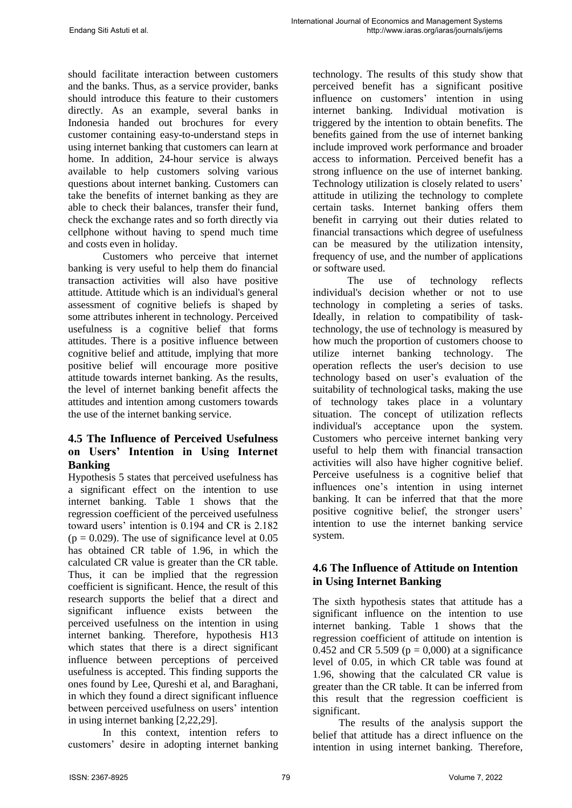should facilitate interaction between customers and the banks. Thus, as a service provider, banks should introduce this feature to their customers directly. As an example, several banks in Indonesia handed out brochures for every customer containing easy-to-understand steps in using internet banking that customers can learn at home. In addition, 24-hour service is always available to help customers solving various questions about internet banking. Customers can take the benefits of internet banking as they are able to check their balances, transfer their fund, check the exchange rates and so forth directly via cellphone without having to spend much time and costs even in holiday.

Customers who perceive that internet banking is very useful to help them do financial transaction activities will also have positive attitude. Attitude which is an individual's general assessment of cognitive beliefs is shaped by some attributes inherent in technology. Perceived usefulness is a cognitive belief that forms attitudes. There is a positive influence between cognitive belief and attitude, implying that more positive belief will encourage more positive attitude towards internet banking. As the results, the level of internet banking benefit affects the attitudes and intention among customers towards the use of the internet banking service.

# **4.5 The Influence of Perceived Usefulness on Users' Intention in Using Internet Banking**

Hypothesis 5 states that perceived usefulness has a significant effect on the intention to use internet banking. Table 1 shows that the regression coefficient of the perceived usefulness toward users' intention is 0.194 and CR is 2.182  $(p = 0.029)$ . The use of significance level at 0.05 has obtained CR table of 1.96, in which the calculated CR value is greater than the CR table. Thus, it can be implied that the regression coefficient is significant. Hence, the result of this research supports the belief that a direct and significant influence exists between the perceived usefulness on the intention in using internet banking. Therefore, hypothesis H13 which states that there is a direct significant influence between perceptions of perceived usefulness is accepted. This finding supports the ones found by Lee, Qureshi et al, and Baraghani, in which they found a direct significant influence between perceived usefulness on users' intention in using internet banking [2,22,29].

In this context, intention refers to customers' desire in adopting internet banking technology. The results of this study show that perceived benefit has a significant positive influence on customers' intention in using internet banking. Individual motivation is triggered by the intention to obtain benefits. The benefits gained from the use of internet banking include improved work performance and broader access to information. Perceived benefit has a strong influence on the use of internet banking. Technology utilization is closely related to users' attitude in utilizing the technology to complete certain tasks. Internet banking offers them benefit in carrying out their duties related to financial transactions which degree of usefulness can be measured by the utilization intensity, frequency of use, and the number of applications or software used.

The use of technology reflects individual's decision whether or not to use technology in completing a series of tasks. Ideally, in relation to compatibility of tasktechnology, the use of technology is measured by how much the proportion of customers choose to utilize internet banking technology. The operation reflects the user's decision to use technology based on user's evaluation of the suitability of technological tasks, making the use of technology takes place in a voluntary situation. The concept of utilization reflects individual's acceptance upon the system. Customers who perceive internet banking very useful to help them with financial transaction activities will also have higher cognitive belief. Perceive usefulness is a cognitive belief that influences one's intention in using internet banking. It can be inferred that that the more positive cognitive belief, the stronger users' intention to use the internet banking service system.

# **4.6 The Influence of Attitude on Intention in Using Internet Banking**

The sixth hypothesis states that attitude has a significant influence on the intention to use internet banking. Table 1 shows that the regression coefficient of attitude on intention is 0.452 and CR 5.509 ( $p = 0,000$ ) at a significance level of 0.05, in which CR table was found at 1.96, showing that the calculated CR value is greater than the CR table. It can be inferred from this result that the regression coefficient is significant.

The results of the analysis support the belief that attitude has a direct influence on the intention in using internet banking. Therefore,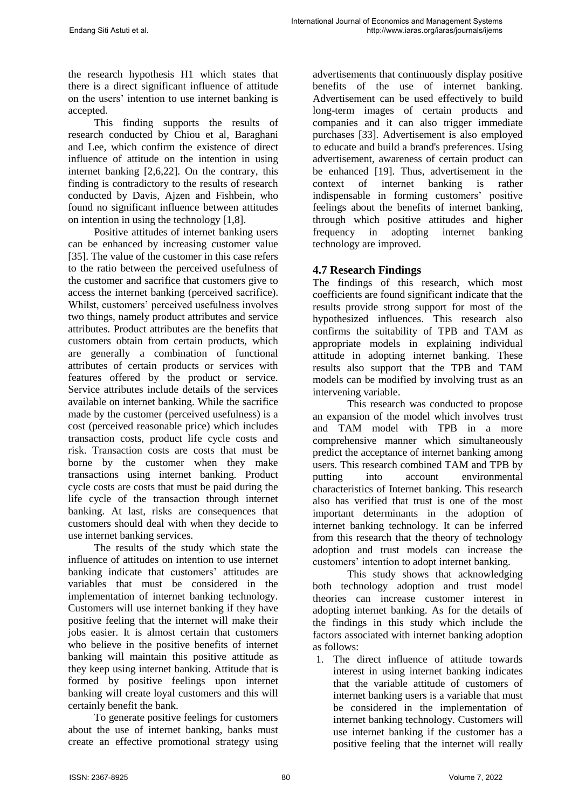the research hypothesis H1 which states that there is a direct significant influence of attitude on the users' intention to use internet banking is accepted.

This finding supports the results of research conducted by Chiou et al, Baraghani and Lee, which confirm the existence of direct influence of attitude on the intention in using internet banking [2,6,22]. On the contrary, this finding is contradictory to the results of research conducted by Davis, Ajzen and Fishbein, who found no significant influence between attitudes on intention in using the technology [1,8].

Positive attitudes of internet banking users can be enhanced by increasing customer value [35]. The value of the customer in this case refers to the ratio between the perceived usefulness of the customer and sacrifice that customers give to access the internet banking (perceived sacrifice). Whilst, customers' perceived usefulness involves two things, namely product attributes and service attributes. Product attributes are the benefits that customers obtain from certain products, which are generally a combination of functional attributes of certain products or services with features offered by the product or service. Service attributes include details of the services available on internet banking. While the sacrifice made by the customer (perceived usefulness) is a cost (perceived reasonable price) which includes transaction costs, product life cycle costs and risk. Transaction costs are costs that must be borne by the customer when they make transactions using internet banking. Product cycle costs are costs that must be paid during the life cycle of the transaction through internet banking. At last, risks are consequences that customers should deal with when they decide to use internet banking services.

The results of the study which state the influence of attitudes on intention to use internet banking indicate that customers' attitudes are variables that must be considered in the implementation of internet banking technology. Customers will use internet banking if they have positive feeling that the internet will make their jobs easier. It is almost certain that customers who believe in the positive benefits of internet banking will maintain this positive attitude as they keep using internet banking. Attitude that is formed by positive feelings upon internet banking will create loyal customers and this will certainly benefit the bank.

To generate positive feelings for customers about the use of internet banking, banks must create an effective promotional strategy using advertisements that continuously display positive benefits of the use of internet banking. Advertisement can be used effectively to build long-term images of certain products and companies and it can also trigger immediate purchases [33]. Advertisement is also employed to educate and build a brand's preferences. Using advertisement, awareness of certain product can be enhanced [19]. Thus, advertisement in the context of internet banking is rather indispensable in forming customers' positive feelings about the benefits of internet banking, through which positive attitudes and higher frequency in adopting internet banking technology are improved.

### **4.7 Research Findings**

The findings of this research, which most coefficients are found significant indicate that the results provide strong support for most of the hypothesized influences. This research also confirms the suitability of TPB and TAM as appropriate models in explaining individual attitude in adopting internet banking. These results also support that the TPB and TAM models can be modified by involving trust as an intervening variable.

This research was conducted to propose an expansion of the model which involves trust and TAM model with TPB in a more comprehensive manner which simultaneously predict the acceptance of internet banking among users. This research combined TAM and TPB by putting into account environmental characteristics of Internet banking. This research also has verified that trust is one of the most important determinants in the adoption of internet banking technology. It can be inferred from this research that the theory of technology adoption and trust models can increase the customers' intention to adopt internet banking.

This study shows that acknowledging both technology adoption and trust model theories can increase customer interest in adopting internet banking. As for the details of the findings in this study which include the factors associated with internet banking adoption as follows:

1. The direct influence of attitude towards interest in using internet banking indicates that the variable attitude of customers of internet banking users is a variable that must be considered in the implementation of internet banking technology. Customers will use internet banking if the customer has a positive feeling that the internet will really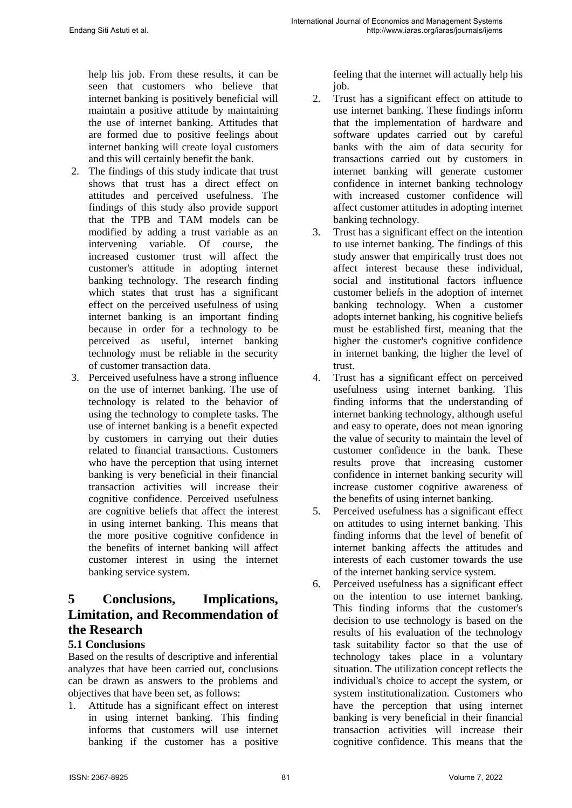help his job. From these results, it can be seen that customers who believe that internet banking is positively beneficial will maintain a positive attitude by maintaining the use of internet banking. Attitudes that are formed due to positive feelings about internet banking will create loyal customers and this will certainly benefit the bank.

- 2. The findings of this study indicate that trust shows that trust has a direct effect on attitudes and perceived usefulness. The findings of this study also provide support that the TPB and TAM models can be modified by adding a trust variable as an intervening variable. Of course, the increased customer trust will affect the customer's attitude in adopting internet banking technology. The research finding which states that trust has a significant effect on the perceived usefulness of using internet banking is an important finding because in order for a technology to be perceived as useful, internet banking technology must be reliable in the security of customer transaction data.
- 3. Perceived usefulness have a strong influence on the use of internet banking. The use of technology is related to the behavior of using the technology to complete tasks. The use of internet banking is a benefit expected by customers in carrying out their duties related to financial transactions. Customers who have the perception that using internet banking is very beneficial in their financial transaction activities will increase their cognitive confidence. Perceived usefulness are cognitive beliefs that affect the interest in using internet banking. This means that the more positive cognitive confidence in the benefits of internet banking will affect customer interest in using the internet banking service system.

# **5 Conclusions, Implications, Limitation, and Recommendation of the Research**

### **5.1 Conclusions**

Based on the results of descriptive and inferential analyzes that have been carried out, conclusions can be drawn as answers to the problems and objectives that have been set, as follows:

1. Attitude has a significant effect on interest in using internet banking. This finding informs that customers will use internet banking if the customer has a positive

feeling that the internet will actually help his job.

- 2. Trust has a significant effect on attitude to use internet banking. These findings inform that the implementation of hardware and software updates carried out by careful banks with the aim of data security for transactions carried out by customers in internet banking will generate customer confidence in internet banking technology with increased customer confidence will affect customer attitudes in adopting internet banking technology.
- 3. Trust has a significant effect on the intention to use internet banking. The findings of this study answer that empirically trust does not affect interest because these individual, social and institutional factors influence customer beliefs in the adoption of internet banking technology. When a customer adopts internet banking, his cognitive beliefs must be established first, meaning that the higher the customer's cognitive confidence in internet banking, the higher the level of trust.
- 4. Trust has a significant effect on perceived usefulness using internet banking. This finding informs that the understanding of internet banking technology, although useful and easy to operate, does not mean ignoring the value of security to maintain the level of customer confidence in the bank. These results prove that increasing customer confidence in internet banking security will increase customer cognitive awareness of the benefits of using internet banking.
- 5. Perceived usefulness has a significant effect on attitudes to using internet banking. This finding informs that the level of benefit of internet banking affects the attitudes and interests of each customer towards the use of the internet banking service system.
- 6. Perceived usefulness has a significant effect on the intention to use internet banking. This finding informs that the customer's decision to use technology is based on the results of his evaluation of the technology task suitability factor so that the use of technology takes place in a voluntary situation. The utilization concept reflects the individual's choice to accept the system, or system institutionalization. Customers who have the perception that using internet banking is very beneficial in their financial transaction activities will increase their cognitive confidence. This means that the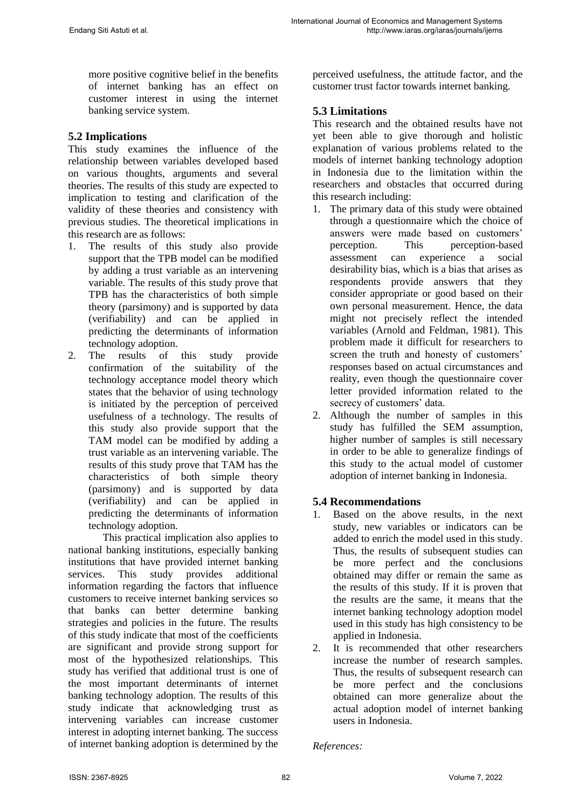more positive cognitive belief in the benefits of internet banking has an effect on customer interest in using the internet banking service system.

# **5.2 Implications**

This study examines the influence of the relationship between variables developed based on various thoughts, arguments and several theories. The results of this study are expected to implication to testing and clarification of the validity of these theories and consistency with previous studies. The theoretical implications in this research are as follows:

- 1. The results of this study also provide support that the TPB model can be modified by adding a trust variable as an intervening variable. The results of this study prove that TPB has the characteristics of both simple theory (parsimony) and is supported by data (verifiability) and can be applied in predicting the determinants of information technology adoption.
- 2. The results of this study provide confirmation of the suitability of the technology acceptance model theory which states that the behavior of using technology is initiated by the perception of perceived usefulness of a technology. The results of this study also provide support that the TAM model can be modified by adding a trust variable as an intervening variable. The results of this study prove that TAM has the characteristics of both simple theory (parsimony) and is supported by data (verifiability) and can be applied in predicting the determinants of information technology adoption.

This practical implication also applies to national banking institutions, especially banking institutions that have provided internet banking services. This study provides additional information regarding the factors that influence customers to receive internet banking services so that banks can better determine banking strategies and policies in the future. The results of this study indicate that most of the coefficients are significant and provide strong support for most of the hypothesized relationships. This study has verified that additional trust is one of the most important determinants of internet banking technology adoption. The results of this study indicate that acknowledging trust as intervening variables can increase customer interest in adopting internet banking. The success of internet banking adoption is determined by the

perceived usefulness, the attitude factor, and the customer trust factor towards internet banking.

# **5.3 Limitations**

This research and the obtained results have not yet been able to give thorough and holistic explanation of various problems related to the models of internet banking technology adoption in Indonesia due to the limitation within the researchers and obstacles that occurred during this research including:

- 1. The primary data of this study were obtained through a questionnaire which the choice of answers were made based on customers' perception. This perception-based assessment can experience a social desirability bias, which is a bias that arises as respondents provide answers that they consider appropriate or good based on their own personal measurement. Hence, the data might not precisely reflect the intended variables (Arnold and Feldman, 1981). This problem made it difficult for researchers to screen the truth and honesty of customers' responses based on actual circumstances and reality, even though the questionnaire cover letter provided information related to the secrecy of customers' data.
- 2. Although the number of samples in this study has fulfilled the SEM assumption, higher number of samples is still necessary in order to be able to generalize findings of this study to the actual model of customer adoption of internet banking in Indonesia.

# **5.4 Recommendations**

- 1. Based on the above results, in the next study, new variables or indicators can be added to enrich the model used in this study. Thus, the results of subsequent studies can be more perfect and the conclusions obtained may differ or remain the same as the results of this study. If it is proven that the results are the same, it means that the internet banking technology adoption model used in this study has high consistency to be applied in Indonesia.
- 2. It is recommended that other researchers increase the number of research samples. Thus, the results of subsequent research can be more perfect and the conclusions obtained can more generalize about the actual adoption model of internet banking users in Indonesia.

#### *References:*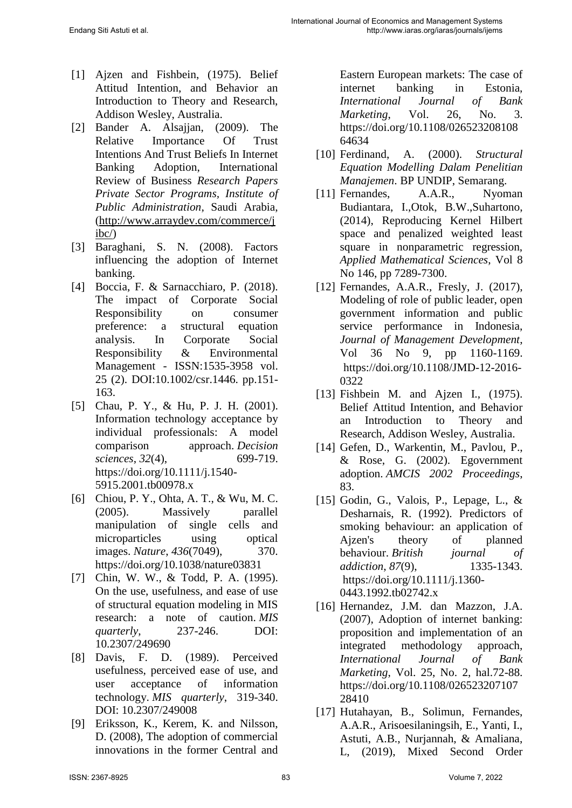- [1] Ajzen and Fishbein, (1975). Belief Attitud Intention, and Behavior an Introduction to Theory and Research, Addison Wesley, Australia.
- [2] Bander A. Alsajjan, (2009). The Relative Importance Of Trust Intentions And Trust Beliefs In Internet Banking Adoption, International Review of Business *Research Papers Private Sector Programs, Institute of Public Administration*, Saudi Arabia, [\(http://www.arraydev.com/commerce/j](http://www.arraydev.com/commerce/jibc/) [ibc/\)](http://www.arraydev.com/commerce/jibc/)
- [3] Baraghani, S. N. (2008). Factors influencing the adoption of Internet banking.
- [4] Boccia, F. & Sarnacchiaro, P. (2018). The impact of Corporate Social Responsibility on consumer preference: a structural equation analysis. In Corporate Social Responsibility & Environmental Management - ISSN:1535-3958 vol. 25 (2). DOI:10.1002/csr.1446. pp.151- 163.
- [5] Chau, P. Y., & Hu, P. J. H. (2001). Information technology acceptance by individual professionals: A model comparison approach. *Decision sciences*, *32*(4), 699-719. https://doi.org/10.1111/j.1540- 5915.2001.tb00978.x
- [6] Chiou, P. Y., Ohta, A. T., & Wu, M. C. (2005). Massively parallel manipulation of single cells and microparticles using optical images. *Nature*, *436*(7049), 370. https://doi.org/10.1038/nature03831
- [7] Chin, W. W., & Todd, P. A. (1995). On the use, usefulness, and ease of use of structural equation modeling in MIS research: a note of caution. *MIS quarterly*, 237-246. DOI: 10.2307/249690
- [8] Davis, F. D. (1989). Perceived usefulness, perceived ease of use, and user acceptance of information technology. *MIS quarterly*, 319-340. DOI: 10.2307/249008
- [9] Eriksson, K., Kerem, K. and Nilsson, D. (2008), The adoption of commercial innovations in the former Central and

Eastern European markets: The case of internet banking in Estonia, *International Journal of Bank Marketing*, Vol. 26, No. 3. [https://doi.org/10.1108/026523208108](https://doi.org/10.1108/02652320810864634) [64634](https://doi.org/10.1108/02652320810864634)

- [10] Ferdinand, A. (2000). *Structural Equation Modelling Dalam Penelitian Manajemen*. BP UNDIP, Semarang.
- [11] Fernandes, A.A.R., Nyoman Budiantara, I.,Otok, B.W.,Suhartono, (2014), Reproducing Kernel Hilbert space and penalized weighted least square in nonparametric regression, *Applied Mathematical Sciences*, Vol 8 No 146, pp 7289-7300.
- [12] Fernandes, A.A.R., Fresly, J. (2017), Modeling of role of public leader, open government information and public service performance in Indonesia, *Journal of Management Development*, Vol 36 No 9, pp 1160-1169. [https://doi.org/10.1108/JMD-12-2016-](https://doi.org/10.1108/JMD-12-2016-0322) [0322](https://doi.org/10.1108/JMD-12-2016-0322)
- [13] Fishbein M. and Ajzen I., (1975). Belief Attitud Intention, and Behavior an Introduction to Theory and Research, Addison Wesley, Australia.
- [14] Gefen, D., Warkentin, M., Pavlou, P., & Rose, G. (2002). Egovernment adoption. *AMCIS 2002 Proceedings*, 83.
- [15] Godin, G., Valois, P., Lepage, L., & Desharnais, R. (1992). Predictors of smoking behaviour: an application of Ajzen's theory of planned behaviour. *British journal of addiction*, *87(9)*, 1335-1343. [https://doi.org/10.1111/j.1360-](https://doi.org/10.1111/j.1360-0443.1992.tb02742.x) [0443.1992.tb02742.x](https://doi.org/10.1111/j.1360-0443.1992.tb02742.x)
- [16] Hernandez, J.M. dan Mazzon, J.A. (2007), Adoption of internet banking: proposition and implementation of an integrated methodology approach, *International Journal of Bank Marketing*, Vol. 25, No. 2, hal.72-88. [https://doi.org/10.1108/026523207107](https://doi.org/10.1108/02652320710728410) [28410](https://doi.org/10.1108/02652320710728410)
- [17] Hutahayan, B., Solimun, Fernandes, A.A.R., Arisoesilaningsih, E., Yanti, I., Astuti, A.B., Nurjannah, & Amaliana, L, (2019), Mixed Second Order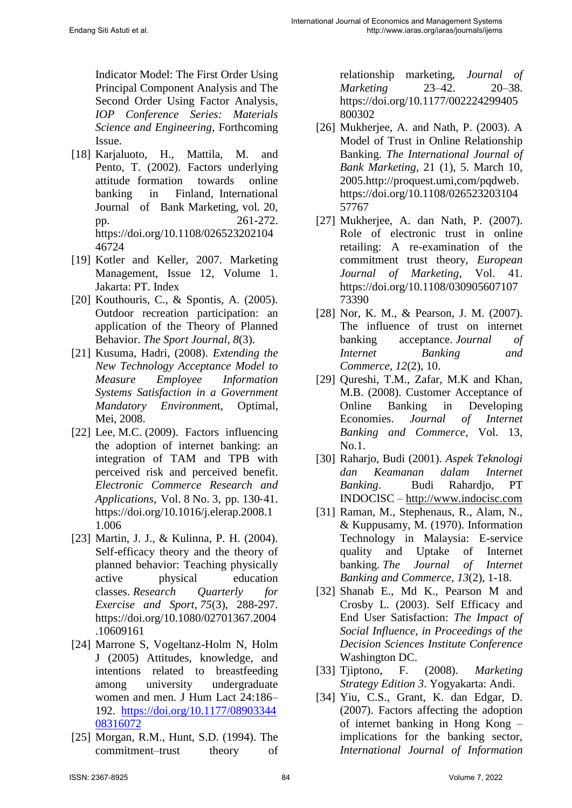Indicator Model: The First Order Using Principal Component Analysis and The Second Order Using Factor Analysis, *IOP Conference Series: Materials Science and Engineering*, Forthcoming Issue.

- [18] Karjaluoto, H., Mattila, M. and Pento, T. (2002). Factors underlying attitude formation towards online banking in Finland, International Journal of Bank Marketing, vol. 20, pp. 261-272. [https://doi.org/10.1108/026523202104](https://doi.org/10.1108/02652320210446724) [46724](https://doi.org/10.1108/02652320210446724)
- [19] Kotler and Keller, 2007. Marketing Management, Issue 12, Volume 1. Jakarta: PT. Index
- [20] Kouthouris, C., & Spontis, A. (2005). Outdoor recreation participation: an application of the Theory of Planned Behavior. *The Sport Journal*, *8*(3).
- [21] Kusuma, Hadri, (2008). *Extending the New Technology Acceptance Model to Measure Employee Information Systems Satisfaction in a Government Mandatory Environmen*t, Optimal, Mei, 2008.
- [22] Lee, M.C. (2009). Factors influencing the adoption of internet banking: an integration of TAM and TPB with perceived risk and perceived benefit. *Electronic Commerce Research and Applications*, Vol. 8 No. 3, pp. 130‐41. [https://doi.org/10.1016/j.elerap.2008.1](https://doi.org/10.1016/j.elerap.2008.11.006) [1.006](https://doi.org/10.1016/j.elerap.2008.11.006)
- [23] Martin, J. J., & Kulinna, P. H. (2004). Self-efficacy theory and the theory of planned behavior: Teaching physically active physical education classes. *Research Quarterly for Exercise and Sport*, *75*(3), 288-297. [https://doi.org/10.1080/02701367.2004](https://doi.org/10.1080/02701367.2004.10609161) [.10609161](https://doi.org/10.1080/02701367.2004.10609161)
- [24] Marrone S, Vogeltanz-Holm N, Holm J (2005) Attitudes, knowledge, and intentions related to breastfeeding among university undergraduate women and men. J Hum Lact 24:186– 192. [https://doi.org/10.1177/08903344](https://doi.org/10.1177/0890334408316072) [08316072](https://doi.org/10.1177/0890334408316072)
- [25] Morgan, R.M., Hunt, S.D. (1994). The commitment–trust theory of

relationship marketing, *Journal of Marketing* 23–42. 20–38. [https://doi.org/10.1177/002224299405](https://doi.org/10.1177%2F002224299405800302) [800302](https://doi.org/10.1177%2F002224299405800302)

- [26] Mukherjee, A. and Nath, P. (2003). A Model of Trust in Online Relationship Banking. *The International Journal of Bank Marketing,* 21 (1), 5. March 10, 2005.http://proquest.umi,com/pqdweb. [https://doi.org/10.1108/026523203104](https://doi.org/10.1108/02652320310457767) [57767](https://doi.org/10.1108/02652320310457767)
- [27] Mukherjee, A. dan Nath, P. (2007). Role of electronic trust in online retailing: A re-examination of the commitment trust theory, *European Journal of Marketing*, Vol. 41. [https://doi.org/10.1108/030905607107](https://doi.org/10.1108/03090560710773390) [73390](https://doi.org/10.1108/03090560710773390)
- [28] Nor, K. M., & Pearson, J. M. (2007). The influence of trust on internet banking acceptance. *Journal of Internet Banking and Commerce*, *12*(2), 10.
- [29] Qureshi, T.M., Zafar, M.K and Khan, M.B. (2008). Customer Acceptance of Online Banking in Developing Economies. *Journal of Internet Banking and Commerce*, Vol. 13, No.1.
- [30] Raharjo, Budi (2001). *Aspek Teknologi dan Keamanan dalam Internet Banking*. Budi Rahardjo, PT INDOCISC – [http://www.indocisc.com](http://www.indocisc.com/)
- [31] Raman, M., Stephenaus, R., Alam, N., & Kuppusamy, M. (1970). Information Technology in Malaysia: E-service quality and Uptake of Internet banking. *The Journal of Internet Banking and Commerce*, *13*(2), 1-18.
- [32] Shanab E., Md K., Pearson M and Crosby L. (2003). Self Efficacy and End User Satisfaction: *The Impact of Social Influence, in Proceedings of the Decision Sciences Institute Conference* Washington DC.
- [33] Tjiptono, F. (2008). *Marketing Strategy Edition 3*. Yogyakarta: Andi.
- [34] Yiu, C.S., Grant, K. dan Edgar, D. (2007). Factors affecting the adoption of internet banking in Hong Kong – implications for the banking sector, *International Journal of Information*